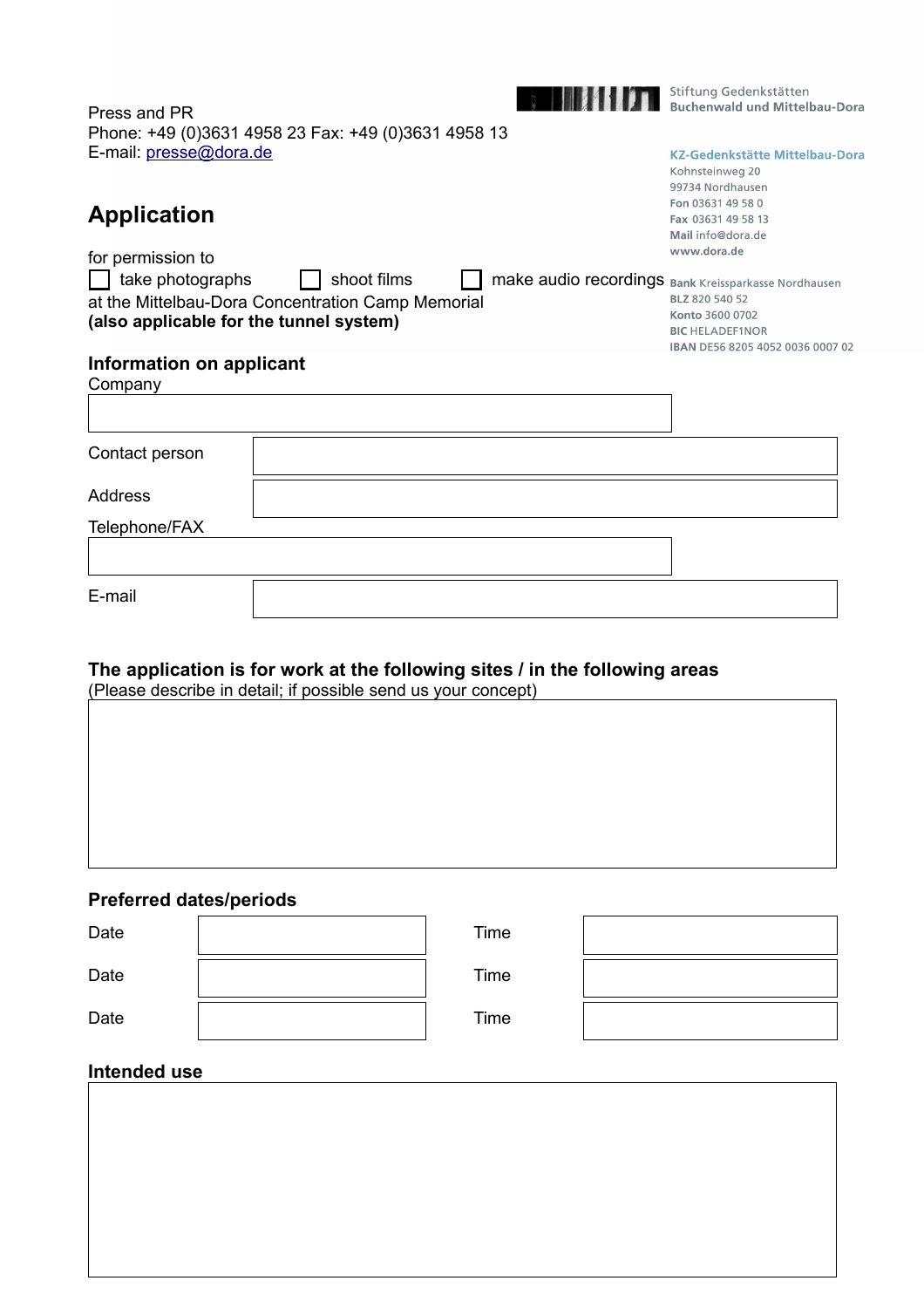

**Maria Stiftung Gedenkstätten**<br>Buchenwald und Mittelbau-Dora

**KZ-Gedenkstätte Mittelbau-Dora** 

IBAN DE56 8205 4052 0036 0007 02

Kohnsteinweg 20 99734 Nordhausen Fon 03631 49 58 0 Fax 03631 49 58 13

| Press and PR                                        |  |
|-----------------------------------------------------|--|
| Phone: +49 (0)3631 4958 23 Fax: +49 (0)3631 4958 13 |  |
| E-mail: presse@dora.de                              |  |

# **Application**

|                                                   | Mail info@dora.de                                    |
|---------------------------------------------------|------------------------------------------------------|
| for permission to                                 | www.dora.de                                          |
| take photographs<br>shoot films                   | make audio recordings Bank Kreissparkasse Nordhausen |
| at the Mittelbau-Dora Concentration Camp Memorial | BLZ 820 540 52                                       |
| (also applicable for the tunnel system)           | Konto 3600 0702                                      |
|                                                   | <b>BIC HELADEF1NOR</b>                               |

# **Information on applicant**

| Company        |  |
|----------------|--|
|                |  |
| Contact person |  |
|                |  |
| Address        |  |
| Telephone/FAX  |  |
|                |  |
| E-mail         |  |

# **The application is for work at the following sites / in the following areas**

| (Please describe in detail; if possible send us your concept) |  |
|---------------------------------------------------------------|--|
|                                                               |  |

# **Preferred dates/periods**

| Date | Time |  |
|------|------|--|
| Date | Time |  |
| Date | Time |  |

### **Intended use**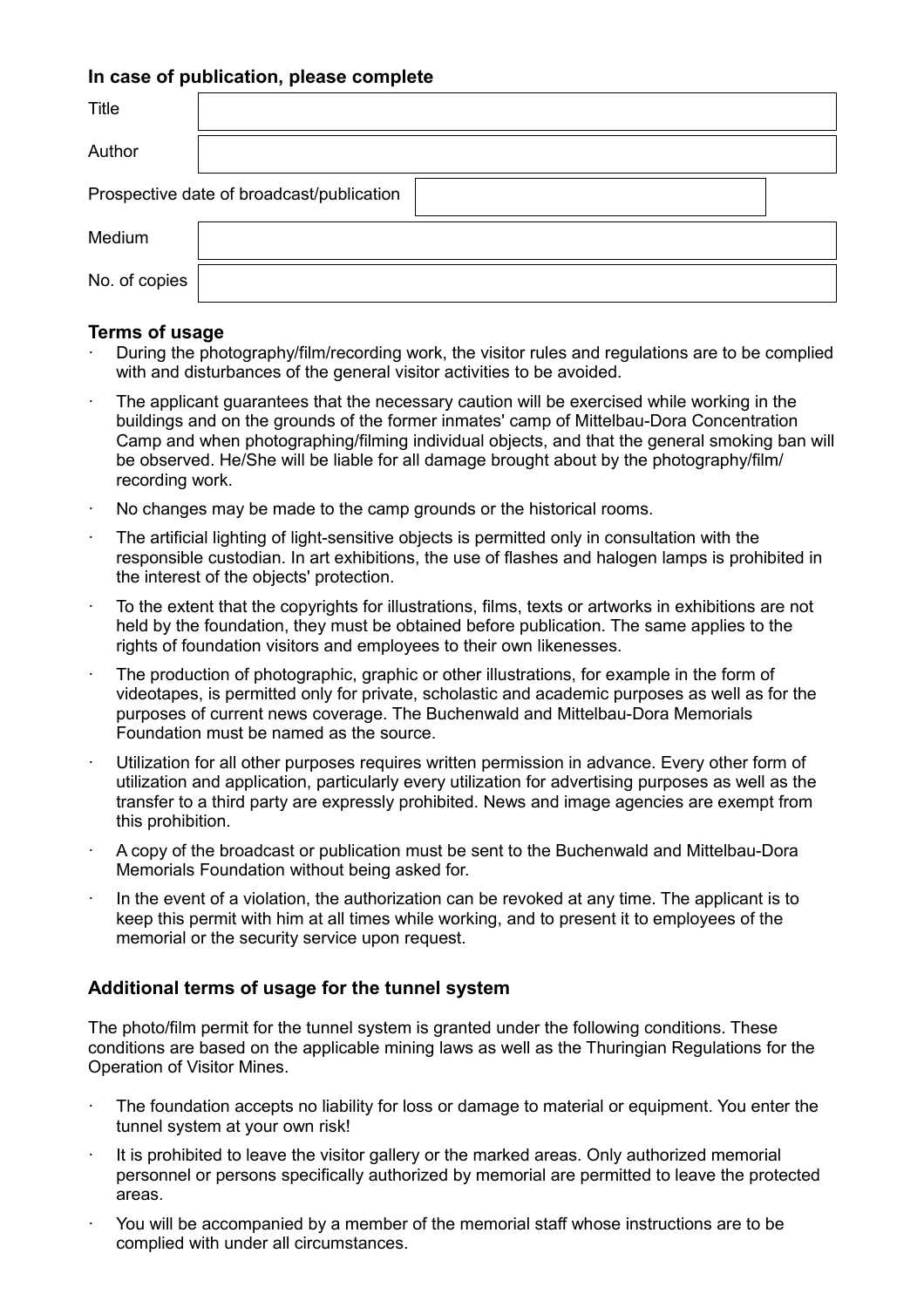#### **In case of publication, please complete**

| <b>Title</b>  |                                           |
|---------------|-------------------------------------------|
| Author        |                                           |
|               | Prospective date of broadcast/publication |
| Medium        |                                           |
| No. of copies |                                           |

#### **Terms of usage**

- · During the photography/film/recording work, the visitor rules and regulations are to be complied with and disturbances of the general visitor activities to be avoided.
- The applicant guarantees that the necessary caution will be exercised while working in the buildings and on the grounds of the former inmates' camp of Mittelbau-Dora Concentration Camp and when photographing/filming individual objects, and that the general smoking ban will be observed. He/She will be liable for all damage brought about by the photography/film/ recording work.
- No changes may be made to the camp grounds or the historical rooms.
- The artificial lighting of light-sensitive objects is permitted only in consultation with the responsible custodian. In art exhibitions, the use of flashes and halogen lamps is prohibited in the interest of the objects' protection.
- · To the extent that the copyrights for illustrations, films, texts or artworks in exhibitions are not held by the foundation, they must be obtained before publication. The same applies to the rights of foundation visitors and employees to their own likenesses.
- The production of photographic, graphic or other illustrations, for example in the form of videotapes, is permitted only for private, scholastic and academic purposes as well as for the purposes of current news coverage. The Buchenwald and Mittelbau-Dora Memorials Foundation must be named as the source.
- · Utilization for all other purposes requires written permission in advance. Every other form of utilization and application, particularly every utilization for advertising purposes as well as the transfer to a third party are expressly prohibited. News and image agencies are exempt from this prohibition.
- · A copy of the broadcast or publication must be sent to the Buchenwald and Mittelbau-Dora Memorials Foundation without being asked for.
- · In the event of a violation, the authorization can be revoked at any time. The applicant is to keep this permit with him at all times while working, and to present it to employees of the memorial or the security service upon request.

#### **Additional terms of usage for the tunnel system**

The photo/film permit for the tunnel system is granted under the following conditions. These conditions are based on the applicable mining laws as well as the Thuringian Regulations for the Operation of Visitor Mines.

- · The foundation accepts no liability for loss or damage to material or equipment. You enter the tunnel system at your own risk!
- $\cdot$  It is prohibited to leave the visitor gallery or the marked areas. Only authorized memorial personnel or persons specifically authorized by memorial are permitted to leave the protected areas.
- · You will be accompanied by a member of the memorial staff whose instructions are to be complied with under all circumstances.